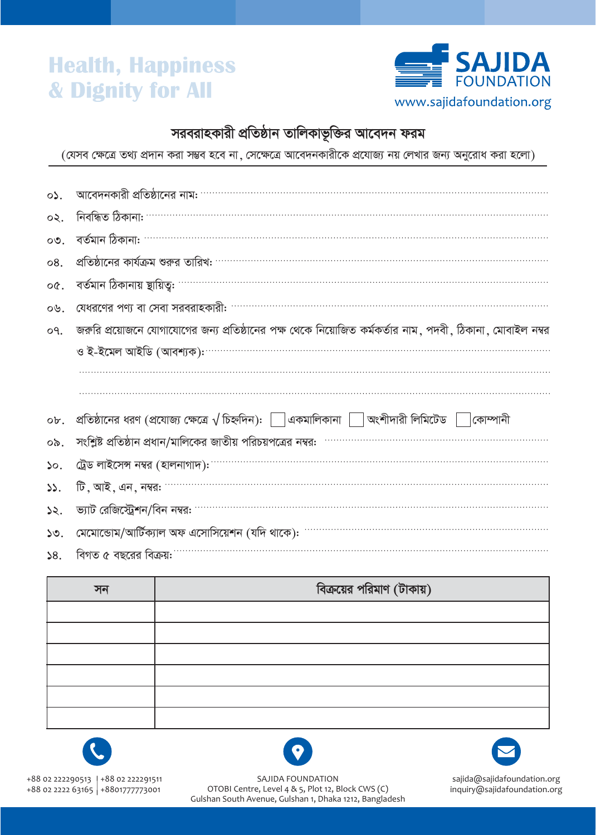# **Health, Happiness** & Dignity for All



#### সরবরাহকারী প্রতিষ্ঠান তালিকাভূক্তির আবেদন ফরম

(যেসব ক্ষেত্রে তথ্য প্রদান করা সম্ভব হবে না , সেক্ষেত্রে আবেদনকারীকে প্রযোজ্য নয় লেখার জন্য অনুরোধ করা হলো)

| $\circ \mathcal{L}$ . | আবেদনকারী প্রতিষ্ঠানের নাম:                                                                                    |
|-----------------------|----------------------------------------------------------------------------------------------------------------|
| $\infty$ .            | নিবন্ধিত ঠিকানা: '                                                                                             |
| $OQ$ .                | বৰ্তমান ঠিকানা:                                                                                                |
| 08.                   | প্রতিষ্ঠানের কার্যক্রম শুরুর তারিখ: …………………………………………………………………………………                                            |
| oQ.                   | বৰ্তমান ঠিকানায় ছায়িত্ব:                                                                                     |
| ०७.                   | যেধরণের পণ্য বা সেবা সরবরাহকারী:                                                                               |
| $OQ$ .                | জরুরি প্রয়োজনে যোগাযোগের জন্য প্রতিষ্ঠানের পক্ষ থেকে নিয়োজিত কর্মকর্তার নাম ,পদবী , ঠিকানা , মোবাইল নম্বর    |
|                       | ও ই-ইমেল আইডি (আবশ্যক): <sup>.</sup>                                                                           |
|                       |                                                                                                                |
|                       |                                                                                                                |
| ob.                   | প্রতিষ্ঠানের ধরণ (প্রযোজ্য ক্ষেত্রে $\sqrt{$ চিহ্নদিন): $\Box$ একমালিকানা $\Box$ অংশীদারী লিমিটেড<br> কোম্পানী |
| ০৯.                   | সংশ্লিষ্ট প্রতিষ্ঠান প্রধান/মালিকের জাতীয় পরিচয়পত্রের নম্বর:                                                 |
| 50.                   | ট্রেড লাইসেন্স নম্বর (হালনাগাদ):                                                                               |
| 55.                   | টি, আই, এন, নম্বর:                                                                                             |
| 52.                   | ভ্যাট রেজিস্ট্রেশন/বিন নম্বর:                                                                                  |
| 50.                   | মেমোন্ডোম/আর্টিক্যাল অফ এসোসিয়েশন (যদি থাকে):                                                                 |
| 58.                   | বিগত ৫ বছরের বিক্রয়:                                                                                          |

| সন | বিক্রয়ের পরিমাণ (টাকায়) |
|----|---------------------------|
|    |                           |
|    |                           |
|    |                           |
|    |                           |
|    |                           |
|    |                           |







SAJIDA FOUNDATION OTOBI Centre, Level 4 & 5, Plot 12, Block CWS (C) Gulshan South Avenue, Gulshan 1, Dhaka 1212, Bangladesh

sajida@sajidafoundation.org inquiry@sajidafoundation.org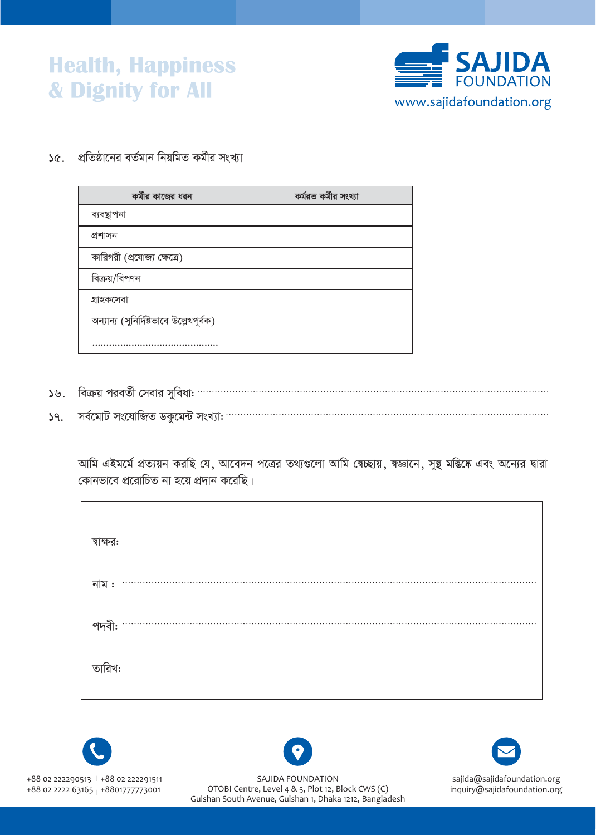### **Health, Happiness** & Dignity for All



১৫.  $\,$  প্রতিষ্ঠানের বর্তমান নিয়মিত কর্মীর সংখ্যা

| কর্মীর কাজের ধরন                        | কৰ্মরত কৰ্মীর সংখ্যা |
|-----------------------------------------|----------------------|
| ব্যবস্থাপনা                             |                      |
| প্ৰশাসন                                 |                      |
| কারিগরী (প্রযোজ্য ক্ষেত্রে)             |                      |
| বিক্রয়/বিপণন                           |                      |
| গ্ৰাহকসেবা                              |                      |
| অন্যান্য (সুনির্দিষ্টভাবে উল্লেখপূর্বক) |                      |
|                                         |                      |

- $59.$
- $39.$

আমি এইমর্মে প্রত্যয়ন করছি যে, আবেদন পত্রের তথ্যগুলো আমি স্বেচ্ছায়, শ্বজ্ঞানে, সুষ্থ মস্তিষ্কে এবং অন্যের দ্বারা কোনভাবে প্ররোচিত না হয়ে প্রদান করেছি।

| স্বাক্ষর: |  |
|-----------|--|
| নাম $:$   |  |
|           |  |
| তারিখ:    |  |
|           |  |





SAJIDA FOUNDATION OTOBI Centre, Level 4 & 5, Plot 12, Block CWS (C) Gulshan South Avenue, Gulshan 1, Dhaka 1212, Bangladesh



sajida@sajidafoundation.org inquiry@sajidafoundation.org